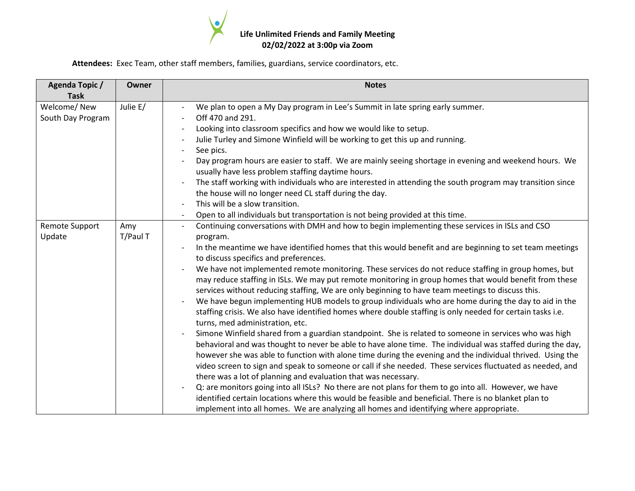

**Attendees:** Exec Team, other staff members, families, guardians, service coordinators, etc.

| <b>Agenda Topic /</b><br><b>Task</b> | Owner           | <b>Notes</b>                                                                                                                                                                                                                                                                                                                                                                                                                                                                                                                                                                                                                                                                                                                                                                                                                                                                                                                                                                                                                                                                                                                                                                                                                                                                                                                                                                                                                                                                                                                                                                                                                                                                  |  |  |  |  |
|--------------------------------------|-----------------|-------------------------------------------------------------------------------------------------------------------------------------------------------------------------------------------------------------------------------------------------------------------------------------------------------------------------------------------------------------------------------------------------------------------------------------------------------------------------------------------------------------------------------------------------------------------------------------------------------------------------------------------------------------------------------------------------------------------------------------------------------------------------------------------------------------------------------------------------------------------------------------------------------------------------------------------------------------------------------------------------------------------------------------------------------------------------------------------------------------------------------------------------------------------------------------------------------------------------------------------------------------------------------------------------------------------------------------------------------------------------------------------------------------------------------------------------------------------------------------------------------------------------------------------------------------------------------------------------------------------------------------------------------------------------------|--|--|--|--|
| Welcome/New<br>South Day Program     | Julie E/        | We plan to open a My Day program in Lee's Summit in late spring early summer.<br>Off 470 and 291.<br>Looking into classroom specifics and how we would like to setup.<br>Julie Turley and Simone Winfield will be working to get this up and running.<br>See pics.<br>Day program hours are easier to staff. We are mainly seeing shortage in evening and weekend hours. We<br>usually have less problem staffing daytime hours.<br>The staff working with individuals who are interested in attending the south program may transition since<br>the house will no longer need CL staff during the day.<br>This will be a slow transition.<br>Open to all individuals but transportation is not being provided at this time.                                                                                                                                                                                                                                                                                                                                                                                                                                                                                                                                                                                                                                                                                                                                                                                                                                                                                                                                                  |  |  |  |  |
| <b>Remote Support</b><br>Update      | Amy<br>T/Paul T | Continuing conversations with DMH and how to begin implementing these services in ISLs and CSO<br>program.<br>In the meantime we have identified homes that this would benefit and are beginning to set team meetings<br>to discuss specifics and preferences.<br>We have not implemented remote monitoring. These services do not reduce staffing in group homes, but<br>may reduce staffing in ISLs. We may put remote monitoring in group homes that would benefit from these<br>services without reducing staffing, We are only beginning to have team meetings to discuss this.<br>We have begun implementing HUB models to group individuals who are home during the day to aid in the<br>staffing crisis. We also have identified homes where double staffing is only needed for certain tasks i.e.<br>turns, med administration, etc.<br>Simone Winfield shared from a guardian standpoint. She is related to someone in services who was high<br>behavioral and was thought to never be able to have alone time. The individual was staffed during the day,<br>however she was able to function with alone time during the evening and the individual thrived. Using the<br>video screen to sign and speak to someone or call if she needed. These services fluctuated as needed, and<br>there was a lot of planning and evaluation that was necessary.<br>Q: are monitors going into all ISLs? No there are not plans for them to go into all. However, we have<br>identified certain locations where this would be feasible and beneficial. There is no blanket plan to<br>implement into all homes. We are analyzing all homes and identifying where appropriate. |  |  |  |  |